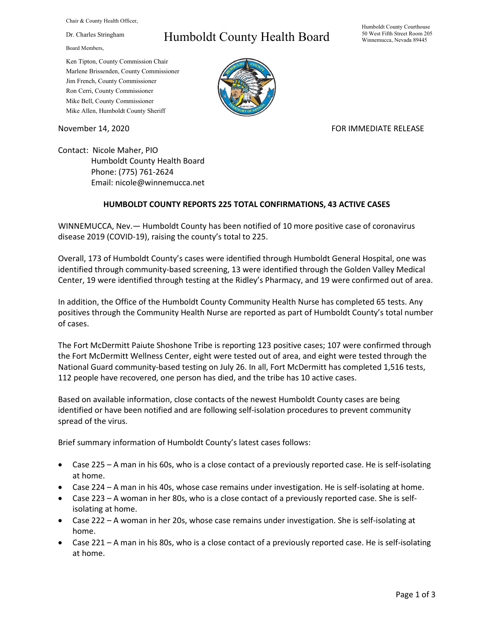Chair & County Health Officer,

Dr. Charles Stringham

Board Members,

## Humboldt County Health Board

Humboldt County Courthouse 50 West Fifth Street Room 205 Winnemucca, Nevada 89445

Ken Tipton, County Commission Chair Marlene Brissenden, County Commissioner Jim French, County Commissioner Ron Cerri, County Commissioner Mike Bell, County Commissioner Mike Allen, Humboldt County Sheriff

November 14, 2020 **FOR IMMEDIATE RELEASE** 

Contact: Nicole Maher, PIO Humboldt County Health Board Phone: (775) 761-2624 Email: nicole@winnemucca.net

## **HUMBOLDT COUNTY REPORTS 225 TOTAL CONFIRMATIONS, 43 ACTIVE CASES**

WINNEMUCCA, Nev.— Humboldt County has been notified of 10 more positive case of coronavirus disease 2019 (COVID-19), raising the county's total to 225.

Overall, 173 of Humboldt County's cases were identified through Humboldt General Hospital, one was identified through community-based screening, 13 were identified through the Golden Valley Medical Center, 19 were identified through testing at the Ridley's Pharmacy, and 19 were confirmed out of area.

In addition, the Office of the Humboldt County Community Health Nurse has completed 65 tests. Any positives through the Community Health Nurse are reported as part of Humboldt County's total number of cases.

The Fort McDermitt Paiute Shoshone Tribe is reporting 123 positive cases; 107 were confirmed through the Fort McDermitt Wellness Center, eight were tested out of area, and eight were tested through the National Guard community-based testing on July 26. In all, Fort McDermitt has completed 1,516 tests, 112 people have recovered, one person has died, and the tribe has 10 active cases.

Based on available information, close contacts of the newest Humboldt County cases are being identified or have been notified and are following self-isolation procedures to prevent community spread of the virus.

Brief summary information of Humboldt County's latest cases follows:

- Case 225 A man in his 60s, who is a close contact of a previously reported case. He is self-isolating at home.
- Case 224 A man in his 40s, whose case remains under investigation. He is self-isolating at home.
- Case 223 A woman in her 80s, who is a close contact of a previously reported case. She is selfisolating at home.
- Case 222 A woman in her 20s, whose case remains under investigation. She is self-isolating at home.
- Case 221 A man in his 80s, who is a close contact of a previously reported case. He is self-isolating at home.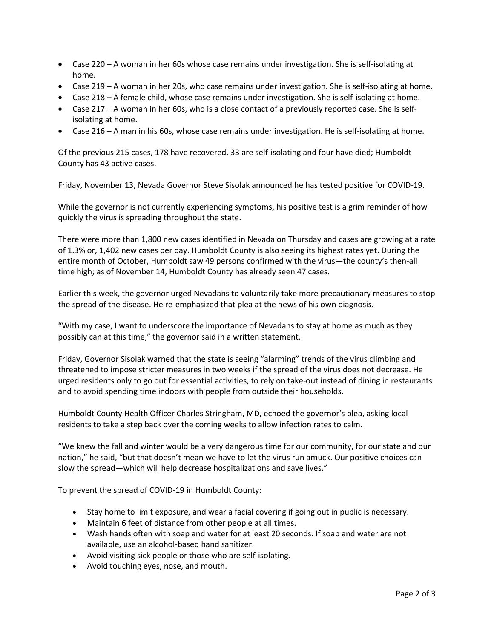- Case 220 A woman in her 60s whose case remains under investigation. She is self-isolating at home.
- Case 219 A woman in her 20s, who case remains under investigation. She is self-isolating at home.
- Case 218 A female child, whose case remains under investigation. She is self-isolating at home.
- Case 217 A woman in her 60s, who is a close contact of a previously reported case. She is selfisolating at home.
- Case 216 A man in his 60s, whose case remains under investigation. He is self-isolating at home.

Of the previous 215 cases, 178 have recovered, 33 are self-isolating and four have died; Humboldt County has 43 active cases.

Friday, November 13, Nevada Governor Steve Sisolak announced he has tested positive for COVID-19.

While the governor is not currently experiencing symptoms, his positive test is a grim reminder of how quickly the virus is spreading throughout the state.

There were more than 1,800 new cases identified in Nevada on Thursday and cases are growing at a rate of 1.3% or, 1,402 new cases per day. Humboldt County is also seeing its highest rates yet. During the entire month of October, Humboldt saw 49 persons confirmed with the virus—the county's then-all time high; as of November 14, Humboldt County has already seen 47 cases.

Earlier this week, the governor urged Nevadans to voluntarily take more precautionary measures to stop the spread of the disease. He re-emphasized that plea at the news of his own diagnosis.

"With my case, I want to underscore the importance of Nevadans to stay at home as much as they possibly can at this time," the governor said in a written statement.

Friday, Governor Sisolak warned that the state is seeing "alarming" trends of the virus climbing and threatened to impose stricter measures in two weeks if the spread of the virus does not decrease. He urged residents only to go out for essential activities, to rely on take-out instead of dining in restaurants and to avoid spending time indoors with people from outside their households.

Humboldt County Health Officer Charles Stringham, MD, echoed the governor's plea, asking local residents to take a step back over the coming weeks to allow infection rates to calm.

"We knew the fall and winter would be a very dangerous time for our community, for our state and our nation," he said, "but that doesn't mean we have to let the virus run amuck. Our positive choices can slow the spread—which will help decrease hospitalizations and save lives."

To prevent the spread of COVID-19 in Humboldt County:

- Stay home to limit exposure, and wear a facial covering if going out in public is necessary.
- Maintain 6 feet of distance from other people at all times.
- Wash hands often with soap and water for at least 20 seconds. If soap and water are not available, use an alcohol-based hand sanitizer.
- Avoid visiting sick people or those who are self-isolating.
- Avoid touching eyes, nose, and mouth.